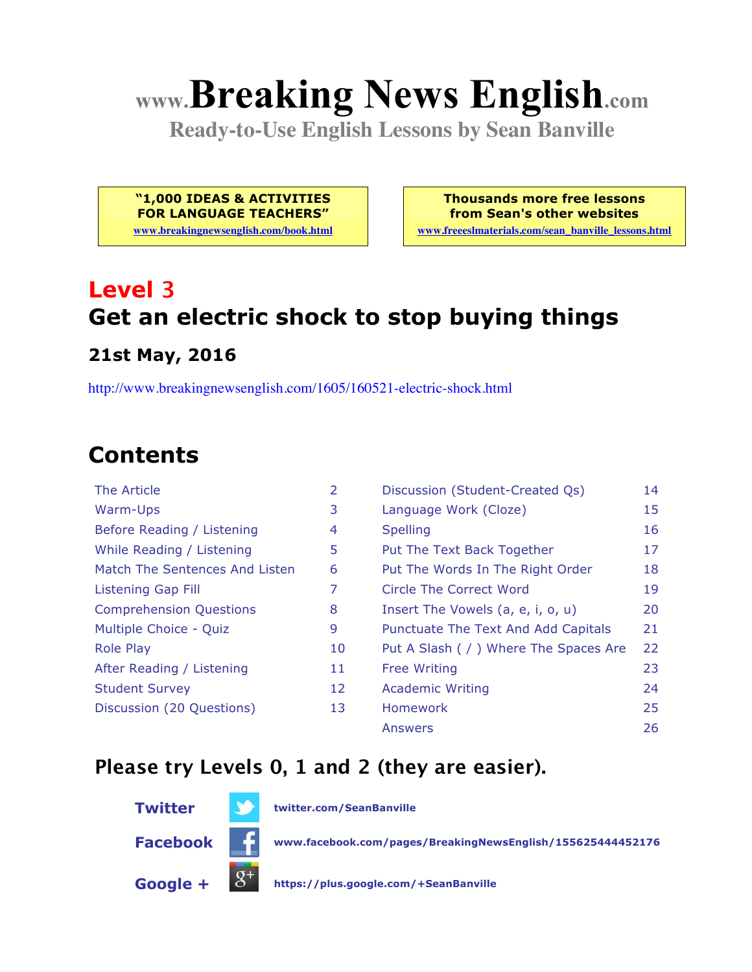# **www.Breaking News English.com**

**Ready-to-Use English Lessons by Sean Banville**

**"1,000 IDEAS & ACTIVITIES FOR LANGUAGE TEACHERS"**

**www.breakingnewsenglish.com/book.html**

**Thousands more free lessons from Sean's other websites**

**www.freeeslmaterials.com/sean\_banville\_lessons.html**

# **Level 3 Get an electric shock to stop buying things**

#### **21st May, 2016**

http://www.breakingnewsenglish.com/1605/160521-electric-shock.html

#### **Contents**

| The Article                    | $\overline{2}$ | Discussion (Student-Created Qs)        | 14 |
|--------------------------------|----------------|----------------------------------------|----|
| Warm-Ups                       | 3              | Language Work (Cloze)                  | 15 |
| Before Reading / Listening     | 4              | <b>Spelling</b>                        | 16 |
| While Reading / Listening      | 5              | Put The Text Back Together             | 17 |
| Match The Sentences And Listen | 6              | Put The Words In The Right Order       | 18 |
| <b>Listening Gap Fill</b>      | 7              | Circle The Correct Word                | 19 |
| <b>Comprehension Questions</b> | 8              | Insert The Vowels (a, e, i, o, u)      | 20 |
| Multiple Choice - Quiz         | 9              | Punctuate The Text And Add Capitals    | 21 |
| <b>Role Play</b>               | 10             | Put A Slash ( / ) Where The Spaces Are | 22 |
| After Reading / Listening      | 11             | <b>Free Writing</b>                    | 23 |
| <b>Student Survey</b>          | 12             | <b>Academic Writing</b>                | 24 |
| Discussion (20 Questions)      | 13             | <b>Homework</b>                        | 25 |
|                                |                | Answers                                | 26 |

#### **Please try Levels 0, 1 and 2 (they are easier).**



**Twitter twitter.com/SeanBanville**

**Facebook www.facebook.com/pages/BreakingNewsEnglish/155625444452176**

**Google + https://plus.google.com/+SeanBanville**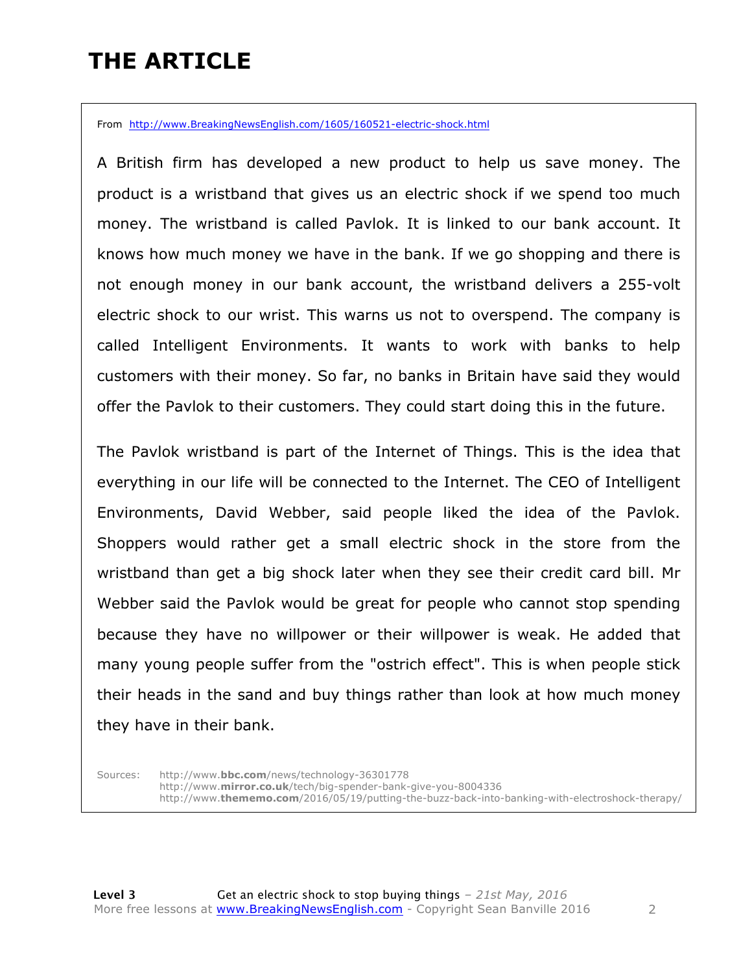# **THE ARTICLE**

From http://www.BreakingNewsEnglish.com/1605/160521-electric-shock.html

A British firm has developed a new product to help us save money. The product is a wristband that gives us an electric shock if we spend too much money. The wristband is called Pavlok. It is linked to our bank account. It knows how much money we have in the bank. If we go shopping and there is not enough money in our bank account, the wristband delivers a 255-volt electric shock to our wrist. This warns us not to overspend. The company is called Intelligent Environments. It wants to work with banks to help customers with their money. So far, no banks in Britain have said they would offer the Pavlok to their customers. They could start doing this in the future.

The Pavlok wristband is part of the Internet of Things. This is the idea that everything in our life will be connected to the Internet. The CEO of Intelligent Environments, David Webber, said people liked the idea of the Pavlok. Shoppers would rather get a small electric shock in the store from the wristband than get a big shock later when they see their credit card bill. Mr Webber said the Pavlok would be great for people who cannot stop spending because they have no willpower or their willpower is weak. He added that many young people suffer from the "ostrich effect". This is when people stick their heads in the sand and buy things rather than look at how much money they have in their bank.

Sources: http://www.**bbc.com**/news/technology-36301778 http://www.**mirror.co.uk**/tech/big-spender-bank-give-you-8004336 http://www.**thememo.com**/2016/05/19/putting-the-buzz-back-into-banking-with-electroshock-therapy/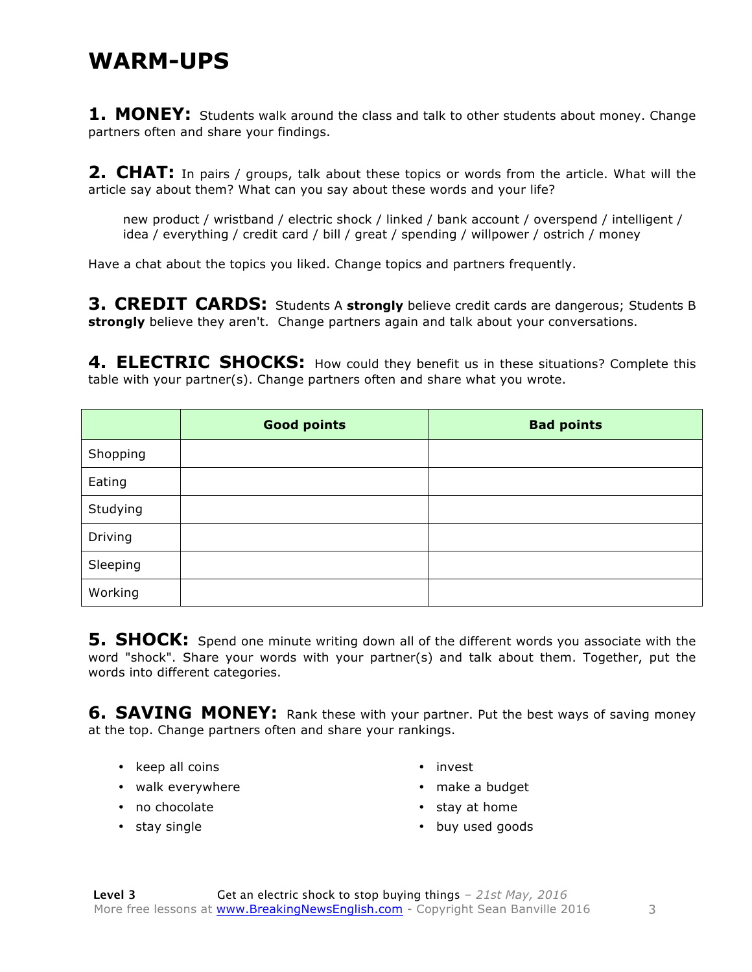#### **WARM-UPS**

1. MONEY: Students walk around the class and talk to other students about money. Change partners often and share your findings.

**2. CHAT:** In pairs / groups, talk about these topics or words from the article. What will the article say about them? What can you say about these words and your life?

new product / wristband / electric shock / linked / bank account / overspend / intelligent / idea / everything / credit card / bill / great / spending / willpower / ostrich / money

Have a chat about the topics you liked. Change topics and partners frequently.

**3. CREDIT CARDS:** Students A **strongly** believe credit cards are dangerous; Students B **strongly** believe they aren't. Change partners again and talk about your conversations.

4. ELECTRIC SHOCKS: How could they benefit us in these situations? Complete this table with your partner(s). Change partners often and share what you wrote.

|          | <b>Good points</b> | <b>Bad points</b> |
|----------|--------------------|-------------------|
| Shopping |                    |                   |
| Eating   |                    |                   |
| Studying |                    |                   |
| Driving  |                    |                   |
| Sleeping |                    |                   |
| Working  |                    |                   |

**5. SHOCK:** Spend one minute writing down all of the different words you associate with the word "shock". Share your words with your partner(s) and talk about them. Together, put the words into different categories.

**6. SAVING MONEY:** Rank these with your partner. Put the best ways of saving money at the top. Change partners often and share your rankings.

- keep all coins
- walk everywhere
- no chocolate
- stay single
- invest
- make a budget
- stay at home
- buy used goods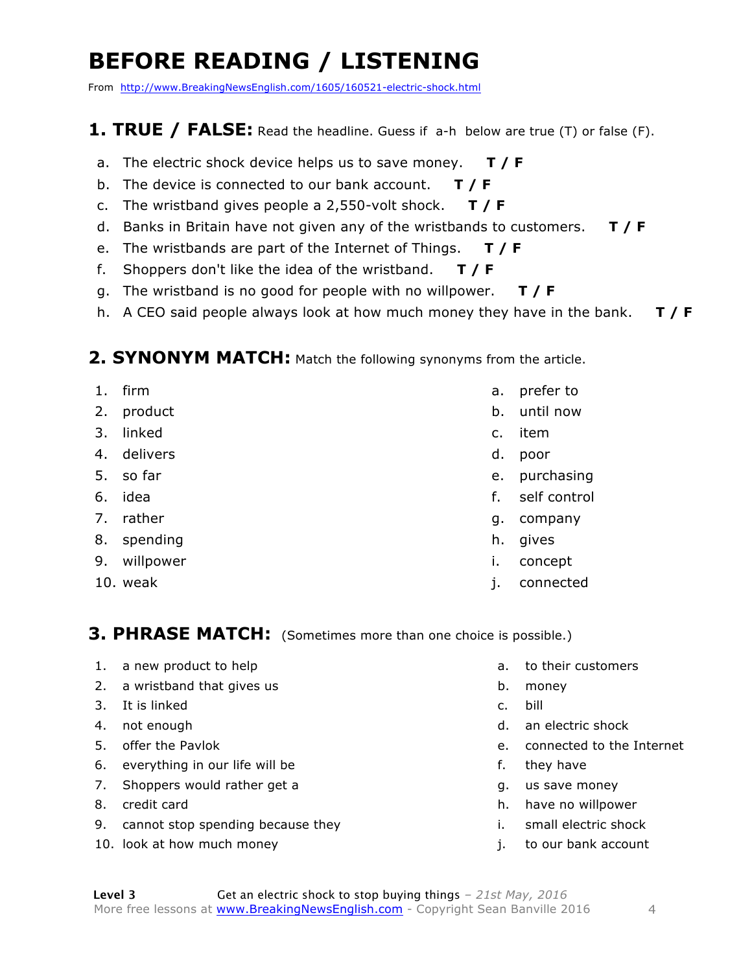# **BEFORE READING / LISTENING**

From http://www.BreakingNewsEnglish.com/1605/160521-electric-shock.html

#### **1. TRUE / FALSE:** Read the headline. Guess if a-h below are true (T) or false (F).

- a. The electric shock device helps us to save money. **T / F**
- b. The device is connected to our bank account. **T / F**
- c. The wristband gives people a 2,550-volt shock. **T / F**
- d. Banks in Britain have not given any of the wristbands to customers. **T / F**
- e. The wristbands are part of the Internet of Things. **T / F**
- f. Shoppers don't like the idea of the wristband. **T / F**
- g. The wristband is no good for people with no willpower. **T / F**
- h. A CEO said people always look at how much money they have in the bank. **T / F**

#### **2. SYNONYM MATCH:** Match the following synonyms from the article.

- 1. firm 2. product 3. linked 4. delivers 5. so far
- 6. idea
- 7. rather
- 8. spending
- 9. willpower
- 10. weak
- a. prefer to
- b. until now
- c. item
- d. poor
- e. purchasing
- f. self control
- g. company
- h. gives
- i. concept
- j. connected

**3. PHRASE MATCH:** (Sometimes more than one choice is possible.)

- 1. a new product to help
- 2. a wristband that gives us
- 3. It is linked
- 4. not enough
- 5. offer the Pavlok
- 6. everything in our life will be
- 7. Shoppers would rather get a
- 8. credit card
- 9. cannot stop spending because they
- 10. look at how much money
- a. to their customers
- b. money
- c. bill
- d. an electric shock
- e. connected to the Internet
- f. they have
- g. us save money
- h. have no willpower
- i. small electric shock
- j. to our bank account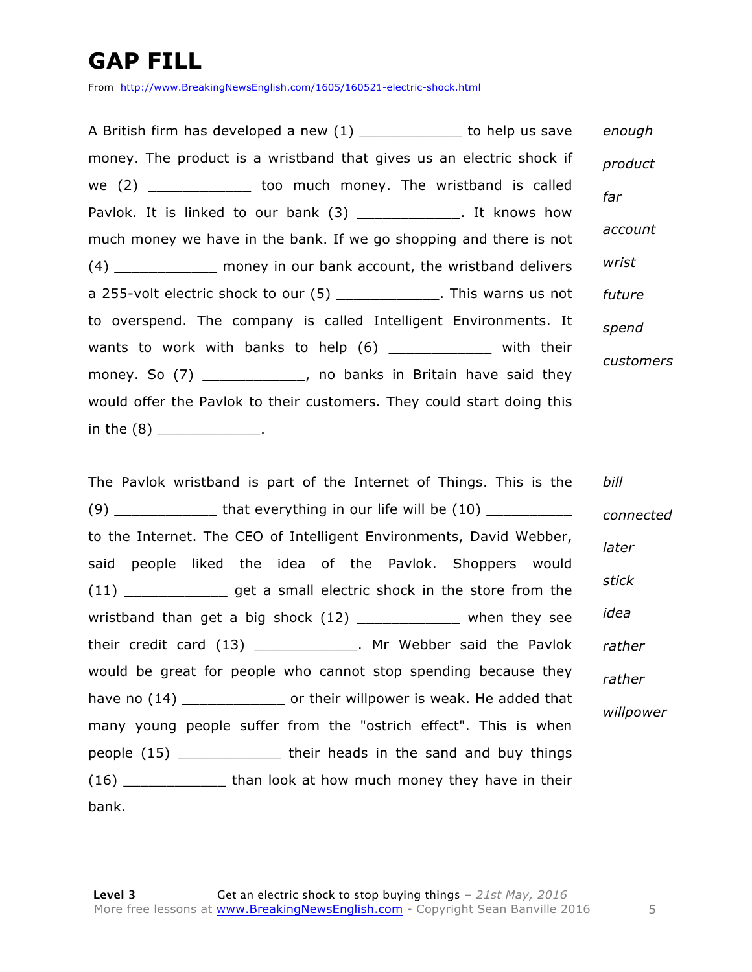## **GAP FILL**

From http://www.BreakingNewsEnglish.com/1605/160521-electric-shock.html

A British firm has developed a new (1) \_\_\_\_\_\_\_\_\_\_\_\_\_ to help us save money. The product is a wristband that gives us an electric shock if we (2) \_\_\_\_\_\_\_\_\_\_\_\_ too much money. The wristband is called Pavlok. It is linked to our bank (3) The May look. It knows how much money we have in the bank. If we go shopping and there is not (4) \_\_\_\_\_\_\_\_\_\_\_\_ money in our bank account, the wristband delivers a 255-volt electric shock to our (5) This warns us not to overspend. The company is called Intelligent Environments. It wants to work with banks to help (6) \_\_\_\_\_\_\_\_\_\_\_\_ with their money. So (7) The sum of the control of the said they money. So (7) would offer the Pavlok to their customers. They could start doing this in the  $(8)$  \_\_\_\_\_\_\_\_\_\_\_\_\_. *enough product far account wrist future spend customers*

The Pavlok wristband is part of the Internet of Things. This is the  $(9)$  that everything in our life will be  $(10)$ to the Internet. The CEO of Intelligent Environments, David Webber, said people liked the idea of the Pavlok. Shoppers would (11) \_\_\_\_\_\_\_\_\_\_\_\_ get a small electric shock in the store from the wristband than get a big shock (12) The when they see their credit card (13) \_\_\_\_\_\_\_\_\_\_\_\_. Mr Webber said the Pavlok would be great for people who cannot stop spending because they have no (14) \_\_\_\_\_\_\_\_\_\_\_\_\_\_\_\_\_\_ or their willpower is weak. He added that many young people suffer from the "ostrich effect". This is when people (15) \_\_\_\_\_\_\_\_\_\_\_\_ their heads in the sand and buy things (16) \_\_\_\_\_\_\_\_\_\_\_\_ than look at how much money they have in their bank. *bill connected later stick idea rather rather willpower*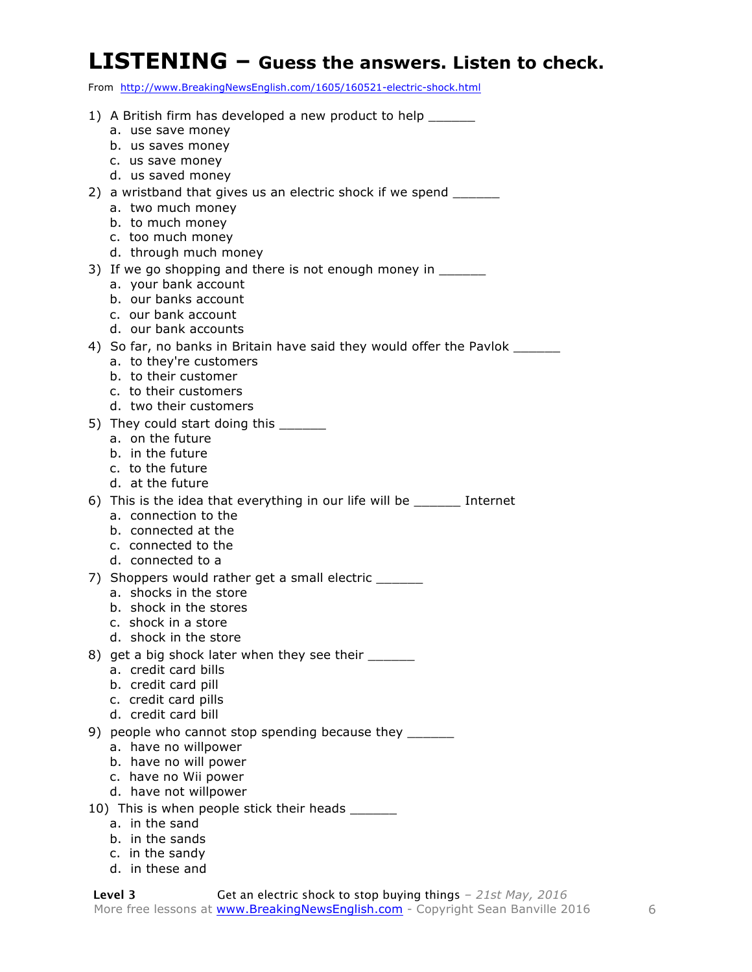#### **LISTENING – Guess the answers. Listen to check.**

From http://www.BreakingNewsEnglish.com/1605/160521-electric-shock.html

| 1) A British firm has developed a new product to help _______<br>a. use save money      |
|-----------------------------------------------------------------------------------------|
| b. us saves money                                                                       |
| c. us save money                                                                        |
| d. us saved money                                                                       |
| 2) a wristband that gives us an electric shock if we spend _______<br>a. two much money |
| b. to much money                                                                        |
| c. too much money                                                                       |
| d. through much money                                                                   |
| 3) If we go shopping and there is not enough money in ______                            |
| a. your bank account                                                                    |
| b. our banks account                                                                    |
| c. our bank account                                                                     |
| d. our bank accounts                                                                    |
| 4) So far, no banks in Britain have said they would offer the Pavlok ___________        |
| a. to they're customers                                                                 |
| b. to their customer                                                                    |
| c. to their customers                                                                   |
| d. two their customers                                                                  |
| 5) They could start doing this _______                                                  |
| a. on the future<br>b. in the future                                                    |
| c. to the future                                                                        |
| d. at the future                                                                        |
| 6) This is the idea that everything in our life will be _______ Internet                |
| a. connection to the                                                                    |
| b. connected at the                                                                     |
| c. connected to the                                                                     |
| d. connected to a                                                                       |
| 7) Shoppers would rather get a small electric _______                                   |
| a. shocks in the store                                                                  |
| b. shock in the stores                                                                  |
| c. shock in a store                                                                     |
| d. shock in the store                                                                   |
| 8) get a big shock later when they see their ______<br>a. credit card bills             |
| b. credit card pill                                                                     |
| c. credit card pills                                                                    |
| d. credit card bill                                                                     |
| 9) people who cannot stop spending because they                                         |
| a. have no willpower                                                                    |
| b. have no will power                                                                   |
| c. have no Wii power                                                                    |
| d. have not willpower                                                                   |
| 10) This is when people stick their heads ______                                        |
| a. in the sand                                                                          |
| b. in the sands                                                                         |
| c. in the sandy                                                                         |

d. in these and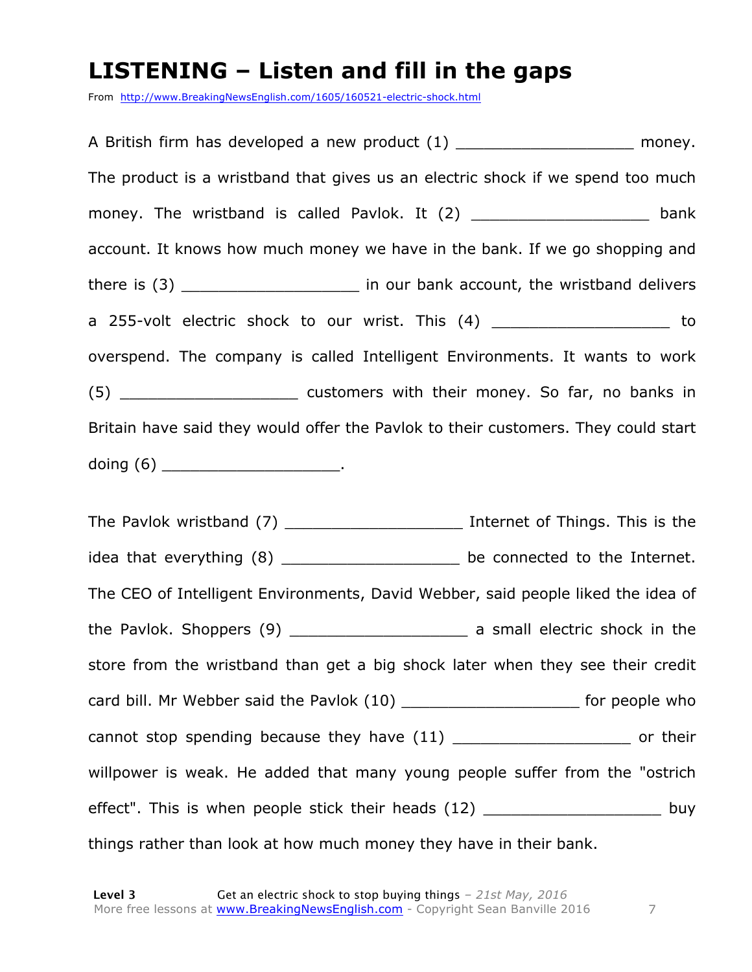#### **LISTENING – Listen and fill in the gaps**

From http://www.BreakingNewsEnglish.com/1605/160521-electric-shock.html

A British firm has developed a new product (1) example a money. The product is a wristband that gives us an electric shock if we spend too much money. The wristband is called Pavlok. It (2) \_\_\_\_\_\_\_\_\_\_\_\_\_\_\_\_\_\_\_\_\_\_ bank account. It knows how much money we have in the bank. If we go shopping and there is (3) There is (3) There is (3) There is (3) Letter the structure is (3) the wristband delivers a 255-volt electric shock to our wrist. This (4) by the state of the state of the state of the state of the st overspend. The company is called Intelligent Environments. It wants to work (5) \_\_\_\_\_\_\_\_\_\_\_\_\_\_\_\_\_\_\_\_ customers with their money. So far, no banks in Britain have said they would offer the Pavlok to their customers. They could start doing  $(6)$  \_\_\_\_\_\_\_\_\_\_\_\_\_\_\_\_\_\_\_\_.

The Pavlok wristband (7) \_\_\_\_\_\_\_\_\_\_\_\_\_\_\_\_\_\_\_\_\_\_\_\_\_\_ Internet of Things. This is the idea that everything (8) \_\_\_\_\_\_\_\_\_\_\_\_\_\_\_\_\_\_\_\_\_\_ be connected to the Internet. The CEO of Intelligent Environments, David Webber, said people liked the idea of the Pavlok. Shoppers (9) \_\_\_\_\_\_\_\_\_\_\_\_\_\_\_\_\_\_\_ a small electric shock in the store from the wristband than get a big shock later when they see their credit card bill. Mr Webber said the Pavlok (10) \_\_\_\_\_\_\_\_\_\_\_\_\_\_\_\_\_\_\_\_\_\_\_\_\_ for people who cannot stop spending because they have (11) cannot stop spending because they have (11) willpower is weak. He added that many young people suffer from the "ostrich effect". This is when people stick their heads (12) \_\_\_\_\_\_\_\_\_\_\_\_\_\_\_\_\_\_\_\_\_\_\_ buy things rather than look at how much money they have in their bank.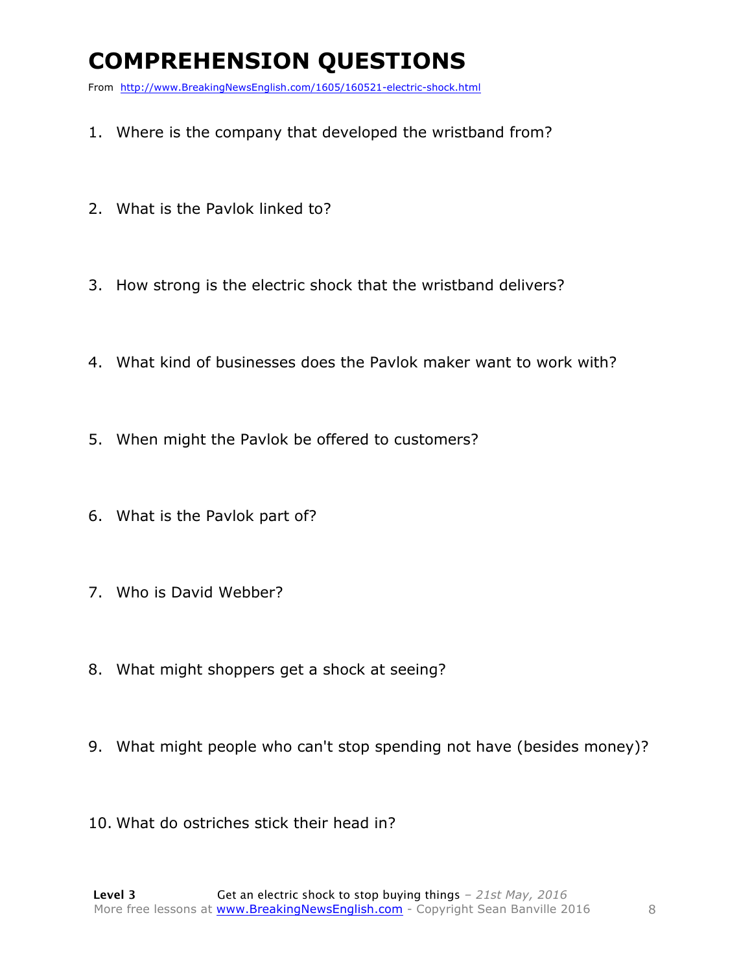# **COMPREHENSION QUESTIONS**

From http://www.BreakingNewsEnglish.com/1605/160521-electric-shock.html

- 1. Where is the company that developed the wristband from?
- 2. What is the Pavlok linked to?
- 3. How strong is the electric shock that the wristband delivers?
- 4. What kind of businesses does the Pavlok maker want to work with?
- 5. When might the Pavlok be offered to customers?
- 6. What is the Pavlok part of?
- 7. Who is David Webber?
- 8. What might shoppers get a shock at seeing?
- 9. What might people who can't stop spending not have (besides money)?
- 10. What do ostriches stick their head in?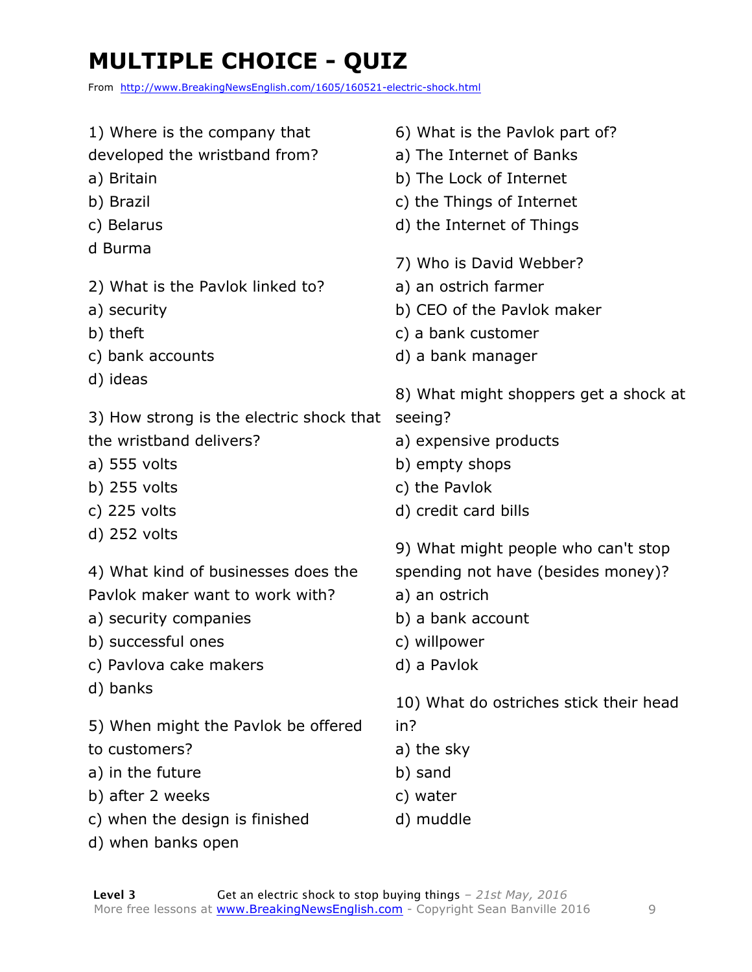# **MULTIPLE CHOICE - QUIZ**

From http://www.BreakingNewsEnglish.com/1605/160521-electric-shock.html

1) Where is the company that developed the wristband from? a) Britain b) Brazil c) Belarus d Burma 2) What is the Pavlok linked to? a) security b) theft c) bank accounts d) ideas 3) How strong is the electric shock that seeing? the wristband delivers? a) 555 volts b) 255 volts c) 225 volts d) 252 volts 4) What kind of businesses does the Pavlok maker want to work with? a) security companies b) successful ones c) Pavlova cake makers d) banks 5) When might the Pavlok be offered to customers? a) in the future b) after 2 weeks c) when the design is finished 6) What is the Pavlok part of? a) The Internet of Banks b) The Lock of Internet c) the Things of Internet d) the Internet of Things 7) Who is David Webber? a) an ostrich farmer b) CEO of the Pavlok maker c) a bank customer d) a bank manager 8) What might shoppers get a shock at a) expensive products b) empty shops c) the Pavlok d) credit card bills 9) What might people who can't stop spending not have (besides money)? a) an ostrich b) a bank account c) willpower d) a Pavlok 10) What do ostriches stick their head in? a) the sky b) sand c) water d) muddle

d) when banks open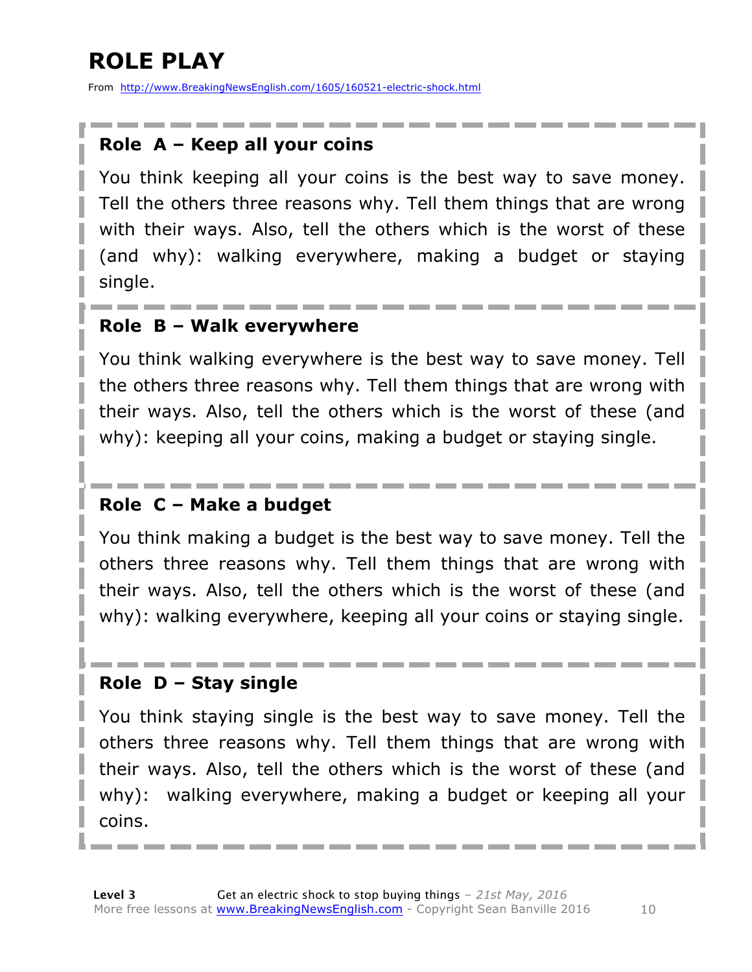# **ROLE PLAY**

From http://www.BreakingNewsEnglish.com/1605/160521-electric-shock.html

#### **Role A – Keep all your coins**

You think keeping all your coins is the best way to save money. Tell the others three reasons why. Tell them things that are wrong with their ways. Also, tell the others which is the worst of these (and why): walking everywhere, making a budget or staying single.

#### **Role B – Walk everywhere**

You think walking everywhere is the best way to save money. Tell the others three reasons why. Tell them things that are wrong with their ways. Also, tell the others which is the worst of these (and why): keeping all your coins, making a budget or staying single.

#### **Role C – Make a budget**

You think making a budget is the best way to save money. Tell the others three reasons why. Tell them things that are wrong with their ways. Also, tell the others which is the worst of these (and why): walking everywhere, keeping all your coins or staying single.

#### **Role D – Stay single**

You think staying single is the best way to save money. Tell the others three reasons why. Tell them things that are wrong with their ways. Also, tell the others which is the worst of these (and why): walking everywhere, making a budget or keeping all your coins.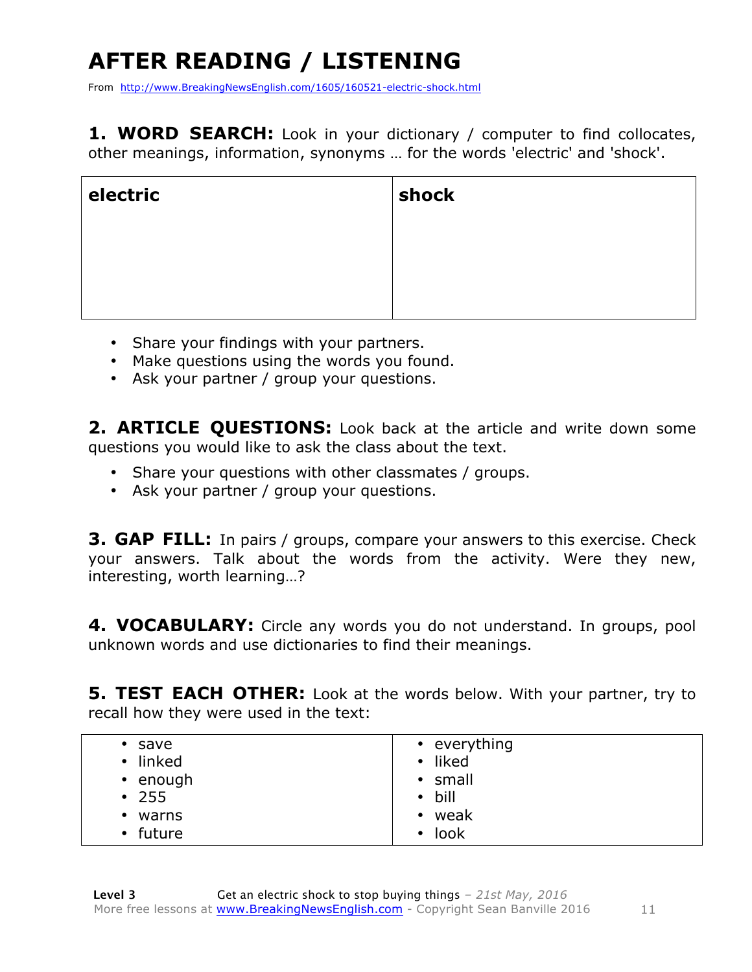# **AFTER READING / LISTENING**

From http://www.BreakingNewsEnglish.com/1605/160521-electric-shock.html

1. WORD SEARCH: Look in your dictionary / computer to find collocates, other meanings, information, synonyms … for the words 'electric' and 'shock'.

| electric | shock |
|----------|-------|
|          |       |
|          |       |
|          |       |

- Share your findings with your partners.
- Make questions using the words you found.
- Ask your partner / group your questions.

**2. ARTICLE QUESTIONS:** Look back at the article and write down some questions you would like to ask the class about the text.

- Share your questions with other classmates / groups.
- Ask your partner / group your questions.

**3. GAP FILL:** In pairs / groups, compare your answers to this exercise. Check your answers. Talk about the words from the activity. Were they new, interesting, worth learning…?

**4. VOCABULARY:** Circle any words you do not understand. In groups, pool unknown words and use dictionaries to find their meanings.

**5. TEST EACH OTHER:** Look at the words below. With your partner, try to recall how they were used in the text:

| $\bullet$ | save           | • everything   |
|-----------|----------------|----------------|
| $\bullet$ | linked         | • liked        |
|           | $\cdot$ enough | • small        |
|           | $\cdot$ 255    | $\bullet$ bill |
| ٠         | warns          | • weak         |
|           | • future       | $\cdot$ look   |
|           |                |                |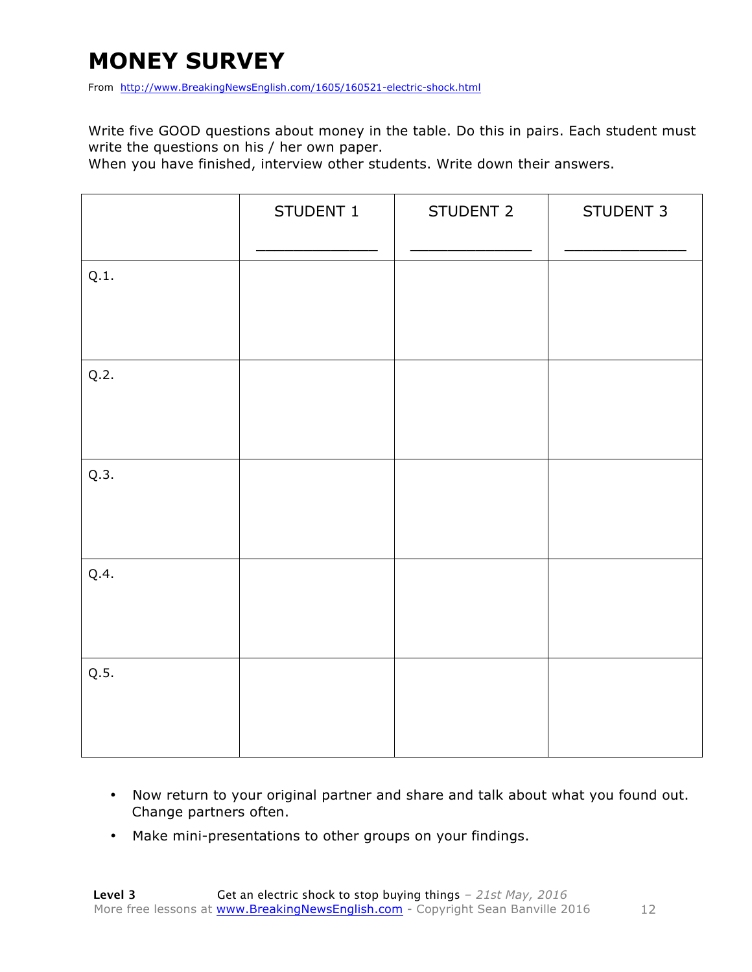#### **MONEY SURVEY**

From http://www.BreakingNewsEnglish.com/1605/160521-electric-shock.html

Write five GOOD questions about money in the table. Do this in pairs. Each student must write the questions on his / her own paper.

When you have finished, interview other students. Write down their answers.

|      | STUDENT 1 | STUDENT 2 | STUDENT 3 |
|------|-----------|-----------|-----------|
| Q.1. |           |           |           |
| Q.2. |           |           |           |
| Q.3. |           |           |           |
| Q.4. |           |           |           |
| Q.5. |           |           |           |

- Now return to your original partner and share and talk about what you found out. Change partners often.
- Make mini-presentations to other groups on your findings.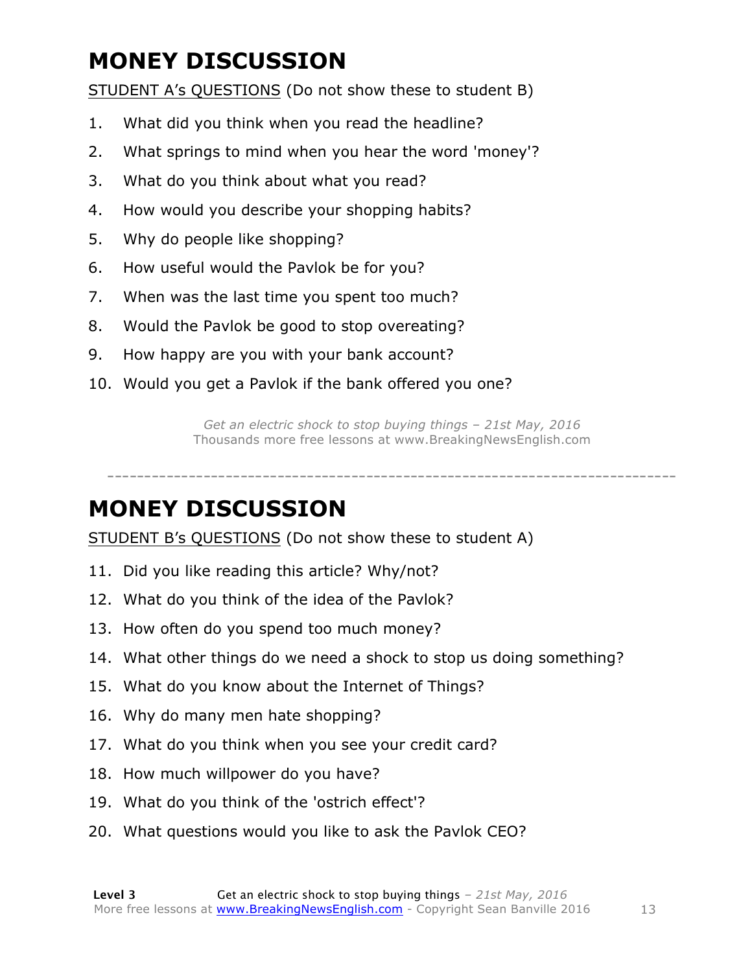# **MONEY DISCUSSION**

STUDENT A's QUESTIONS (Do not show these to student B)

- 1. What did you think when you read the headline?
- 2. What springs to mind when you hear the word 'money'?
- 3. What do you think about what you read?
- 4. How would you describe your shopping habits?
- 5. Why do people like shopping?
- 6. How useful would the Pavlok be for you?
- 7. When was the last time you spent too much?
- 8. Would the Pavlok be good to stop overeating?
- 9. How happy are you with your bank account?
- 10. Would you get a Pavlok if the bank offered you one?

*Get an electric shock to stop buying things – 21st May, 2016* Thousands more free lessons at www.BreakingNewsEnglish.com

-----------------------------------------------------------------------------

#### **MONEY DISCUSSION**

STUDENT B's QUESTIONS (Do not show these to student A)

- 11. Did you like reading this article? Why/not?
- 12. What do you think of the idea of the Pavlok?
- 13. How often do you spend too much money?
- 14. What other things do we need a shock to stop us doing something?
- 15. What do you know about the Internet of Things?
- 16. Why do many men hate shopping?
- 17. What do you think when you see your credit card?
- 18. How much willpower do you have?
- 19. What do you think of the 'ostrich effect'?
- 20. What questions would you like to ask the Pavlok CEO?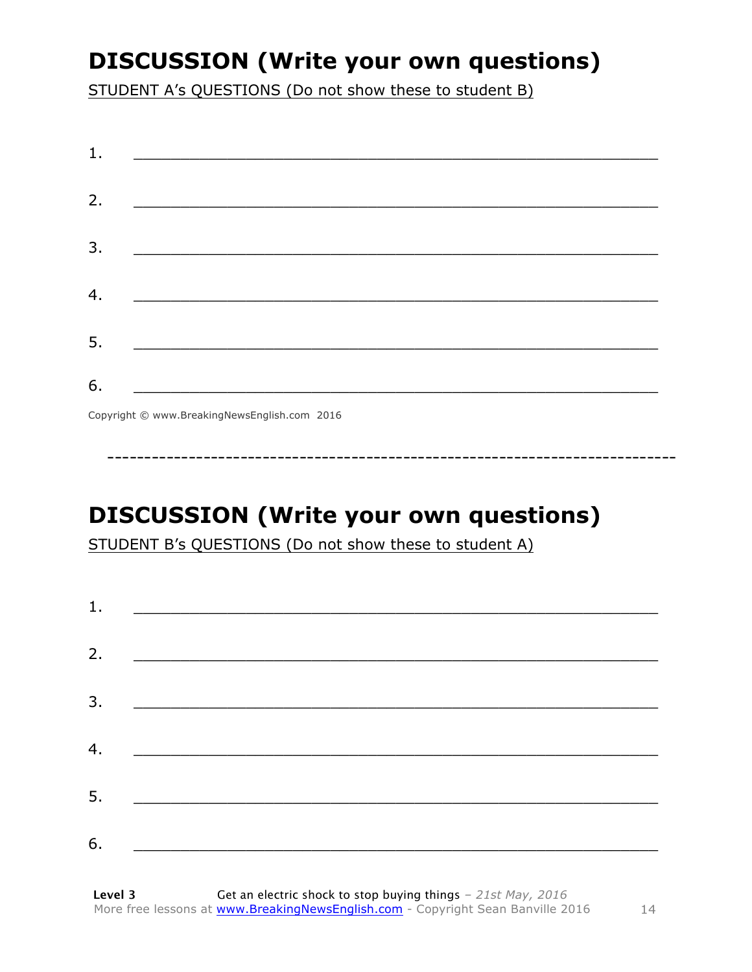### **DISCUSSION (Write your own questions)**

STUDENT A's QUESTIONS (Do not show these to student B)

| 1. |                                                              |  |  |
|----|--------------------------------------------------------------|--|--|
| 2. | <u> 1989 - Johann Barn, margaret eta idazlear (h. 1989).</u> |  |  |
| 3. |                                                              |  |  |
| 4. |                                                              |  |  |
| 5. |                                                              |  |  |
| 6. |                                                              |  |  |

Copyright © www.BreakingNewsEnglish.com 2016

# **DISCUSSION (Write your own questions)**

STUDENT B's QUESTIONS (Do not show these to student A)

| 1. |                                                                                                                      |  |
|----|----------------------------------------------------------------------------------------------------------------------|--|
|    |                                                                                                                      |  |
| 2. |                                                                                                                      |  |
| 3. |                                                                                                                      |  |
|    |                                                                                                                      |  |
| 4. |                                                                                                                      |  |
| 5. | <u> 1980 - Jan James James Barnett, martin de la política de la propia de la propia de la propia de la propia de</u> |  |
|    |                                                                                                                      |  |
| 6. |                                                                                                                      |  |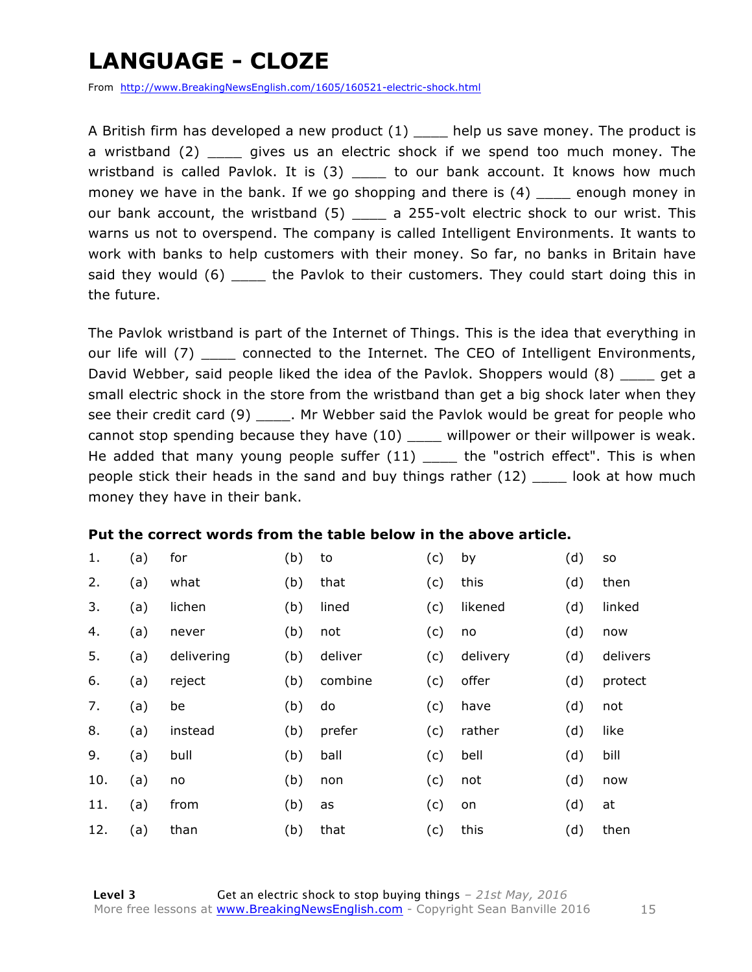### **LANGUAGE - CLOZE**

From http://www.BreakingNewsEnglish.com/1605/160521-electric-shock.html

A British firm has developed a new product  $(1)$  help us save money. The product is a wristband (2) \_\_\_\_ gives us an electric shock if we spend too much money. The wristband is called Pavlok. It is  $(3)$  \_\_\_\_ to our bank account. It knows how much money we have in the bank. If we go shopping and there is (4) enough money in our bank account, the wristband (5) \_\_\_\_ a 255-volt electric shock to our wrist. This warns us not to overspend. The company is called Intelligent Environments. It wants to work with banks to help customers with their money. So far, no banks in Britain have said they would (6) \_\_\_\_ the Pavlok to their customers. They could start doing this in the future.

The Pavlok wristband is part of the Internet of Things. This is the idea that everything in our life will (7) connected to the Internet. The CEO of Intelligent Environments, David Webber, said people liked the idea of the Pavlok. Shoppers would (8) equate a small electric shock in the store from the wristband than get a big shock later when they see their credit card (9) \_\_\_\_\_. Mr Webber said the Pavlok would be great for people who cannot stop spending because they have (10) \_\_\_\_ willpower or their willpower is weak. He added that many young people suffer (11) \_\_\_\_ the "ostrich effect". This is when people stick their heads in the sand and buy things rather (12) \_\_\_\_ look at how much money they have in their bank.

#### **Put the correct words from the table below in the above article.**

| 1.  | (a) | for        | (b) | to      | (c) | by       | (d) | <b>SO</b> |
|-----|-----|------------|-----|---------|-----|----------|-----|-----------|
| 2.  | (a) | what       | (b) | that    | (c) | this     | (d) | then      |
| 3.  | (a) | lichen     | (b) | lined   | (c) | likened  | (d) | linked    |
| 4.  | (a) | never      | (b) | not     | (c) | no       | (d) | now       |
| 5.  | (a) | delivering | (b) | deliver | (c) | delivery | (d) | delivers  |
| 6.  | (a) | reject     | (b) | combine | (c) | offer    | (d) | protect   |
| 7.  | (a) | be         | (b) | do      | (c) | have     | (d) | not       |
| 8.  | (a) | instead    | (b) | prefer  | (c) | rather   | (d) | like      |
| 9.  | (a) | bull       | (b) | ball    | (c) | bell     | (d) | bill      |
| 10. | (a) | no         | (b) | non     | (c) | not      | (d) | now       |
| 11. | (a) | from       | (b) | as      | (c) | on       | (d) | at        |
| 12. | (a) | than       | (b) | that    | (c) | this     | (d) | then      |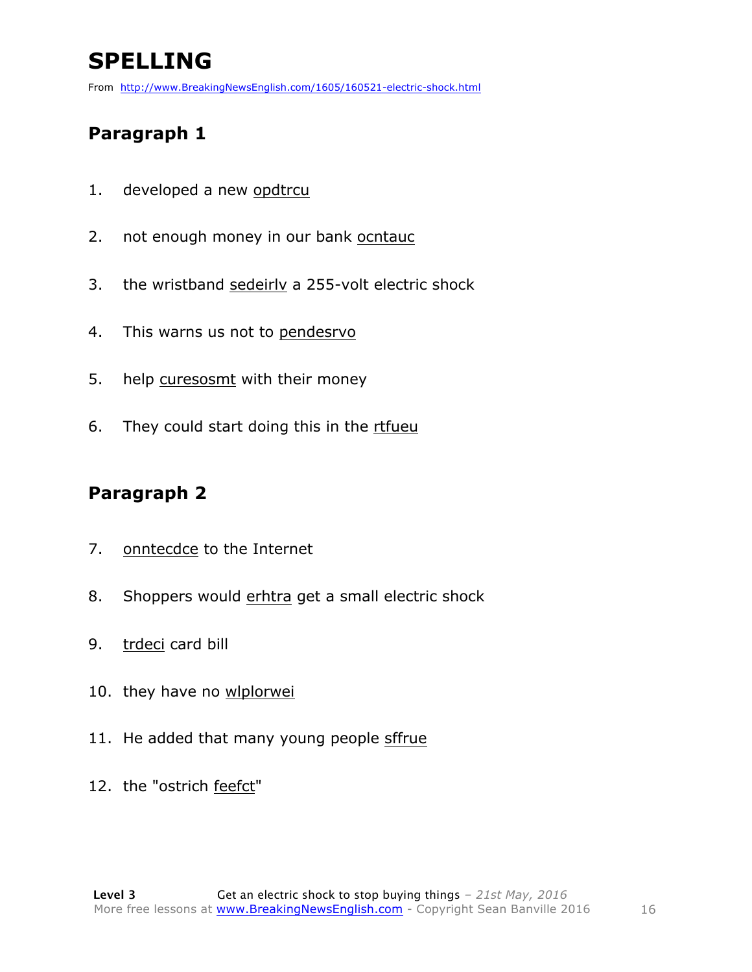# **SPELLING**

From http://www.BreakingNewsEnglish.com/1605/160521-electric-shock.html

#### **Paragraph 1**

- 1. developed a new opdtrcu
- 2. not enough money in our bank ocntauc
- 3. the wristband sedeirlv a 255-volt electric shock
- 4. This warns us not to pendesrvo
- 5. help curesosmt with their money
- 6. They could start doing this in the rtfueu

#### **Paragraph 2**

- 7. onntecdce to the Internet
- 8. Shoppers would erhtra get a small electric shock
- 9. trdeci card bill
- 10. they have no wlplorwei
- 11. He added that many young people sffrue
- 12. the "ostrich feefct"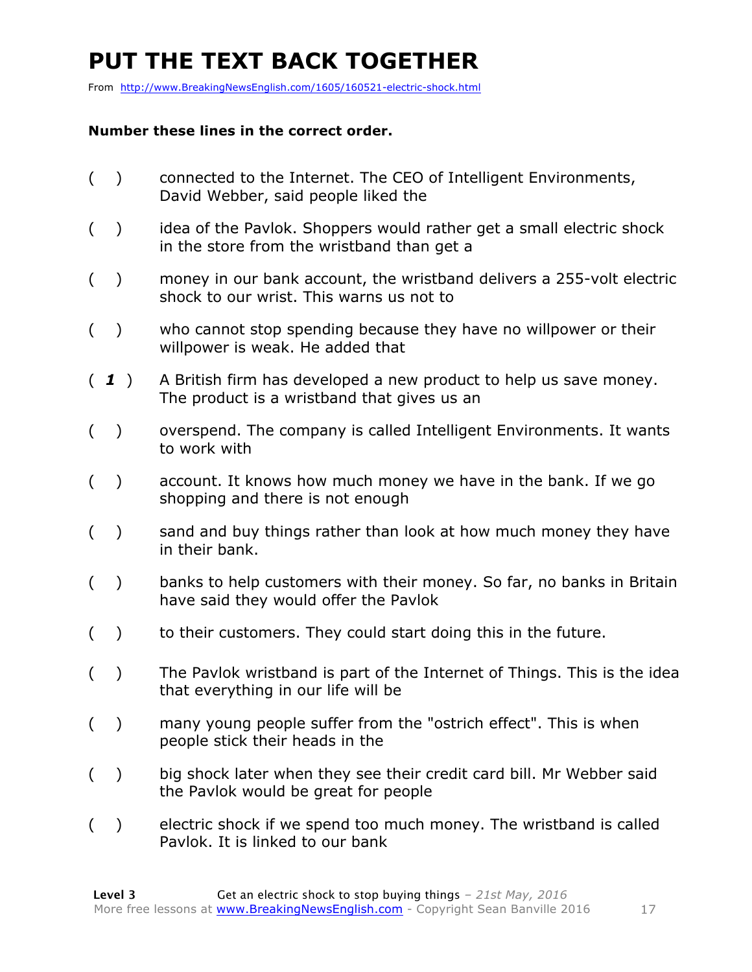# **PUT THE TEXT BACK TOGETHER**

From http://www.BreakingNewsEnglish.com/1605/160521-electric-shock.html

#### **Number these lines in the correct order.**

- ( ) connected to the Internet. The CEO of Intelligent Environments, David Webber, said people liked the
- () idea of the Pavlok. Shoppers would rather get a small electric shock in the store from the wristband than get a
- ( ) money in our bank account, the wristband delivers a 255-volt electric shock to our wrist. This warns us not to
- ( ) who cannot stop spending because they have no willpower or their willpower is weak. He added that
- ( *1* ) A British firm has developed a new product to help us save money. The product is a wristband that gives us an
- ( ) overspend. The company is called Intelligent Environments. It wants to work with
- ( ) account. It knows how much money we have in the bank. If we go shopping and there is not enough
- ( ) sand and buy things rather than look at how much money they have in their bank.
- ( ) banks to help customers with their money. So far, no banks in Britain have said they would offer the Pavlok
- () to their customers. They could start doing this in the future.
- ( ) The Pavlok wristband is part of the Internet of Things. This is the idea that everything in our life will be
- ( ) many young people suffer from the "ostrich effect". This is when people stick their heads in the
- () big shock later when they see their credit card bill. Mr Webber said the Pavlok would be great for people
- ( ) electric shock if we spend too much money. The wristband is called Pavlok. It is linked to our bank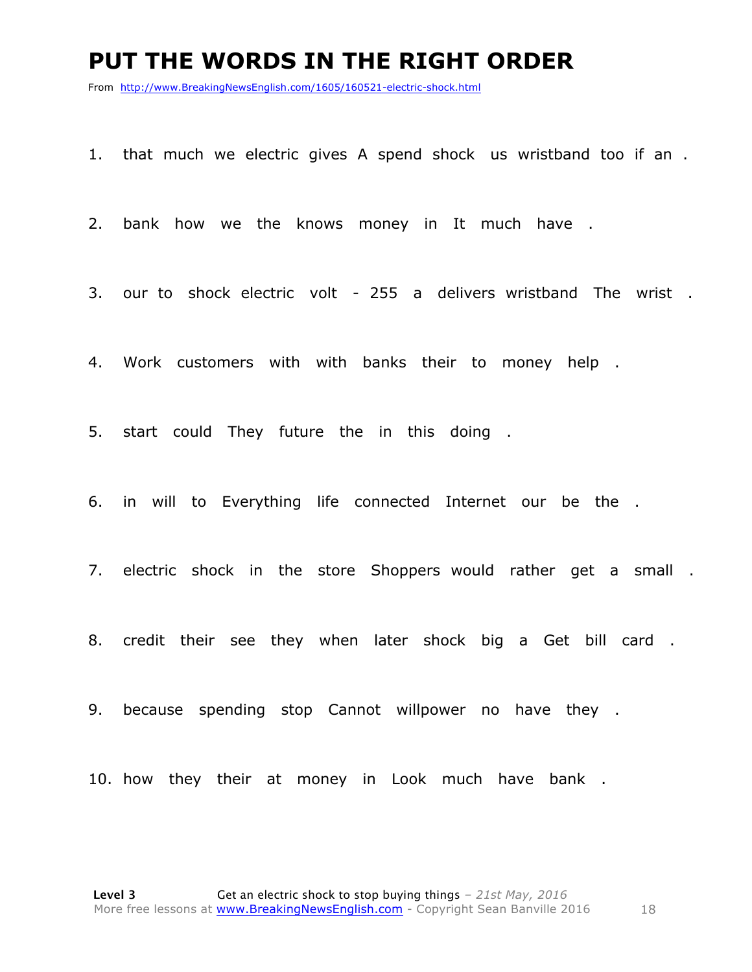#### **PUT THE WORDS IN THE RIGHT ORDER**

From http://www.BreakingNewsEnglish.com/1605/160521-electric-shock.html

1. that much we electric gives A spend shock us wristband too if an .

2. bank how we the knows money in It much have .

3. our to shock electric volt - 255 a delivers wristband The wrist .

4. Work customers with with banks their to money help .

5. start could They future the in this doing .

6. in will to Everything life connected Internet our be the .

7. electric shock in the store Shoppers would rather get a small .

8. credit their see they when later shock big a Get bill card .

9. because spending stop Cannot willpower no have they .

10. how they their at money in Look much have bank .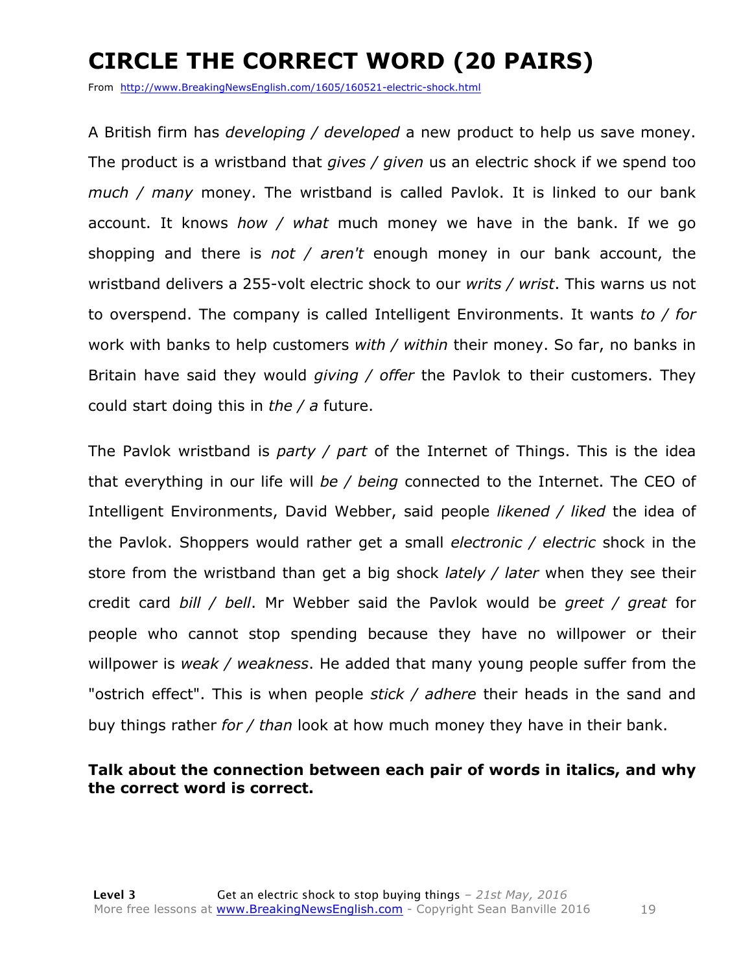# **CIRCLE THE CORRECT WORD (20 PAIRS)**

From http://www.BreakingNewsEnglish.com/1605/160521-electric-shock.html

A British firm has *developing / developed* a new product to help us save money. The product is a wristband that *gives / given* us an electric shock if we spend too *much / many* money. The wristband is called Pavlok. It is linked to our bank account. It knows *how / what* much money we have in the bank. If we go shopping and there is *not / aren't* enough money in our bank account, the wristband delivers a 255-volt electric shock to our *writs / wrist*. This warns us not to overspend. The company is called Intelligent Environments. It wants *to / for*  work with banks to help customers *with / within* their money. So far, no banks in Britain have said they would *giving / offer* the Pavlok to their customers. They could start doing this in *the / a* future.

The Pavlok wristband is *party / part* of the Internet of Things. This is the idea that everything in our life will *be / being* connected to the Internet. The CEO of Intelligent Environments, David Webber, said people *likened / liked* the idea of the Pavlok. Shoppers would rather get a small *electronic / electric* shock in the store from the wristband than get a big shock *lately / later* when they see their credit card *bill / bell*. Mr Webber said the Pavlok would be *greet / great* for people who cannot stop spending because they have no willpower or their willpower is *weak / weakness*. He added that many young people suffer from the "ostrich effect". This is when people *stick / adhere* their heads in the sand and buy things rather *for / than* look at how much money they have in their bank.

#### **Talk about the connection between each pair of words in italics, and why the correct word is correct.**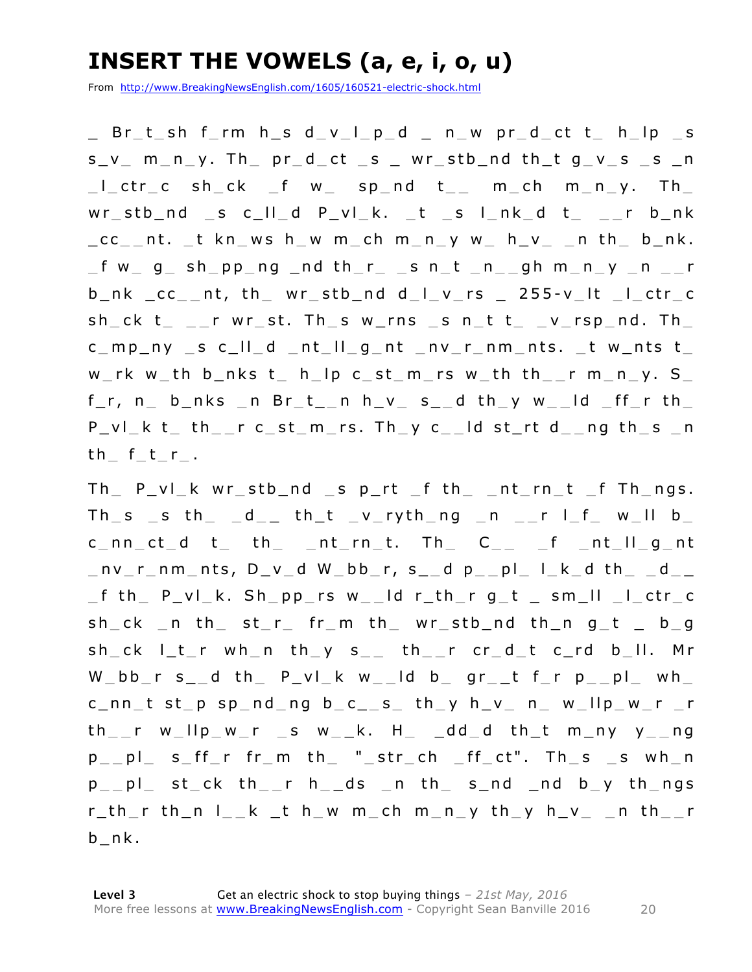### **INSERT THE VOWELS (a, e, i, o, u)**

From http://www.BreakingNewsEnglish.com/1605/160521-electric-shock.html

\_ B r \_ t \_ sh f \_ rm h \_ s d \_ v \_ l \_ p \_ d \_ n \_ w pr \_ d \_ ct t \_ h \_ lp \_ s  $s_v$  m\_n\_y. Th\_  $pr_dct$  \_s \_ wr\_stb\_nd th\_t  $g_v$  s \_s \_n  $\lfloor$  \_ ctr \_ c sh \_ ck \_ f w \_ sp \_ nd t \_ \_ m \_ ch m \_ n \_ y. Th \_  $wr\_stb\_nd$   $\_s$   $c\_ll\_d$   $P\_vl\_k$ .  $\_t$   $\_s$   $l\_nk\_d$   $t$   $\_$   $\_r$   $b\_nk$  $\_{cc}$  nt.  $\_$ t kn ws h w m  $\_$ ch m  $\_$ n  $\_$ y w  $\_$  h  $\_$   $\_$  n th  $\_$  b  $\_$ nk.  $\_$  f w $\_$  g $\_$  sh $\_$ pp $\_$ ng  $\_$ nd th $\_$ r $\_$   $\_$ s n $\_$ t  $\_$ n $\_$ gh m $\_$ n $\_$ y  $\_$ n  $\_$ r  $b_n$ k  $cc_{n-1}$ t, th $w_n$  wr $c_n$ stb $d_n$ d d $d_n$ l $n-1$   $c_n$  and  $c_n$   $c_n$   $c_n$   $c_{n-1}$  $sh_c k$  t\_ \_\_r wr\_st. Th\_s w\_rns \_s n\_t t\_ \_v\_rsp\_nd. Th\_  $c$  mp ny  $s$   $c$   $||$   $d$  nt  $||$   $g$  nt nv  $r$  nm nts.  $t$  w nts  $t$ w  $rk$  w  $th$   $b$  nks  $t$   $h$   $lp$   $c$   $st$   $m$   $rs$   $w$   $th$   $th$   $r$   $m$   $n$   $y$ .  $S$  $f_r$ , n\_ b\_nks \_n Br\_t\_\_n h\_v\_ s\_\_d th\_y w\_\_ld \_ff\_r th\_  $P_V$ | k t the r c st m rs. Th y c and st rt d ang th s and th  $f_t$  f  $r$ .

 $Th$   $P$   $vl$   $k$   $wr$   $stb$   $nd$   $s$   $p$   $rt$   $f$   $th$   $n$   $nt$   $rn$   $t$   $f$   $Th$   $ngs$ . Th  $s$   $_s$  th  $_d$  th  $t$   $_v$  ryth ng n  $_r$  l  $f$  w ll b  $c$  nn ct d t th nt rn t. Th  $c$  f nt  $||g$  nt  $\lnot$  nv r nm nts, D v d W bb r, s d p pl l k d th  $\lnot$  d  $\lnot$ f th P v l k. Sh pp rs w  $1d$  r th r q t s m  $11$   $1$  ctr  $c$ sh  $ck$  n th st r fr m th wr stb nd th n q t b q  $sh\_ck$   $l\_t\_r$  wh\_n  $th\_y$   $s\_$   $th\_r$   $cr\_d\_t$   $c\_rd$   $b\_ll$ . Mr W  $bb$  r s d th P vl k w ld b gr t f r p pl wh c nn t st p sp nd ng b c  $s$  th y h  $v$  n  $w$  llp  $w$  r  $r$  $th$ \_r w\_llp\_w\_r \_s w\_\_k. H\_ \_dd\_d  $th$ \_t m\_ny y\_\_ng  $p_{p}$  p  $_{p}$  s  $_{p}$  f  $_{p}$  fr  $_{p}$  m th  $_{p}$   $_{p}$   $_{p}$   $_{p}$   $_{p}$   $_{p}$   $_{p}$   $_{p}$   $_{p}$   $_{p}$   $_{p}$   $_{p}$   $_{p}$   $_{p}$   $_{p}$   $_{p}$   $_{p}$   $_{p}$   $_{p}$   $_{p}$   $_{p}$   $_{p}$   $_{p}$   $_{p}$   $_{p}$   $_{p}$   $_{p}$   $_{p}$   $_{p}$   $_{$ p pl st ck th r h ds n th s nd nd b y th ngs r thr thn lkthwm chmny thy hvn thr b nk.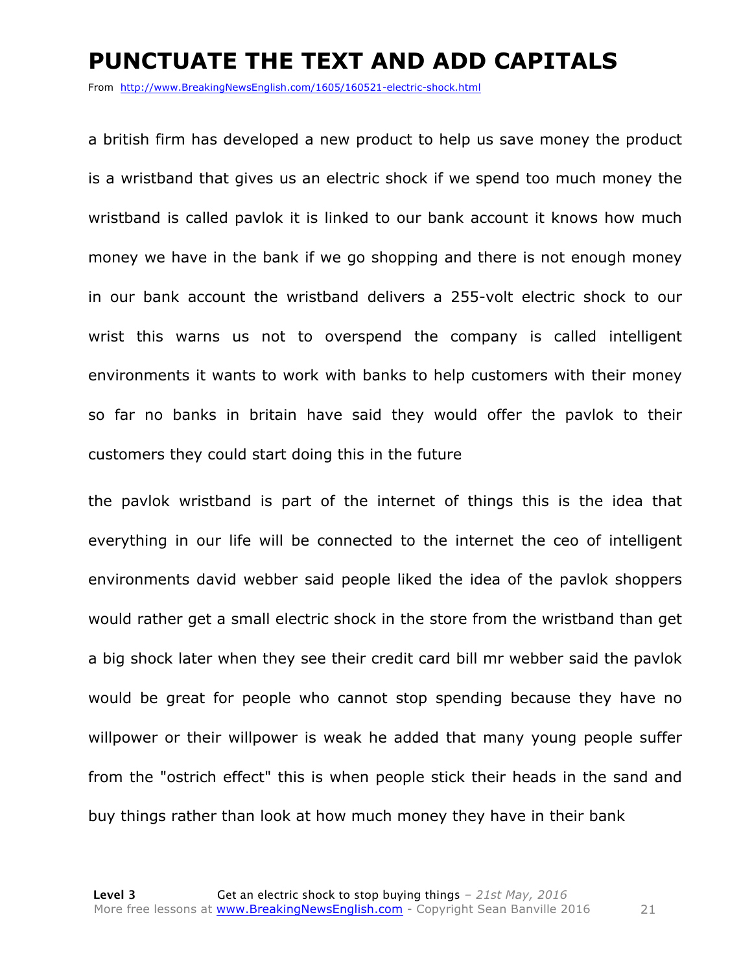#### **PUNCTUATE THE TEXT AND ADD CAPITALS**

From http://www.BreakingNewsEnglish.com/1605/160521-electric-shock.html

a british firm has developed a new product to help us save money the product is a wristband that gives us an electric shock if we spend too much money the wristband is called pavlok it is linked to our bank account it knows how much money we have in the bank if we go shopping and there is not enough money in our bank account the wristband delivers a 255-volt electric shock to our wrist this warns us not to overspend the company is called intelligent environments it wants to work with banks to help customers with their money so far no banks in britain have said they would offer the pavlok to their customers they could start doing this in the future

the pavlok wristband is part of the internet of things this is the idea that everything in our life will be connected to the internet the ceo of intelligent environments david webber said people liked the idea of the pavlok shoppers would rather get a small electric shock in the store from the wristband than get a big shock later when they see their credit card bill mr webber said the pavlok would be great for people who cannot stop spending because they have no willpower or their willpower is weak he added that many young people suffer from the "ostrich effect" this is when people stick their heads in the sand and buy things rather than look at how much money they have in their bank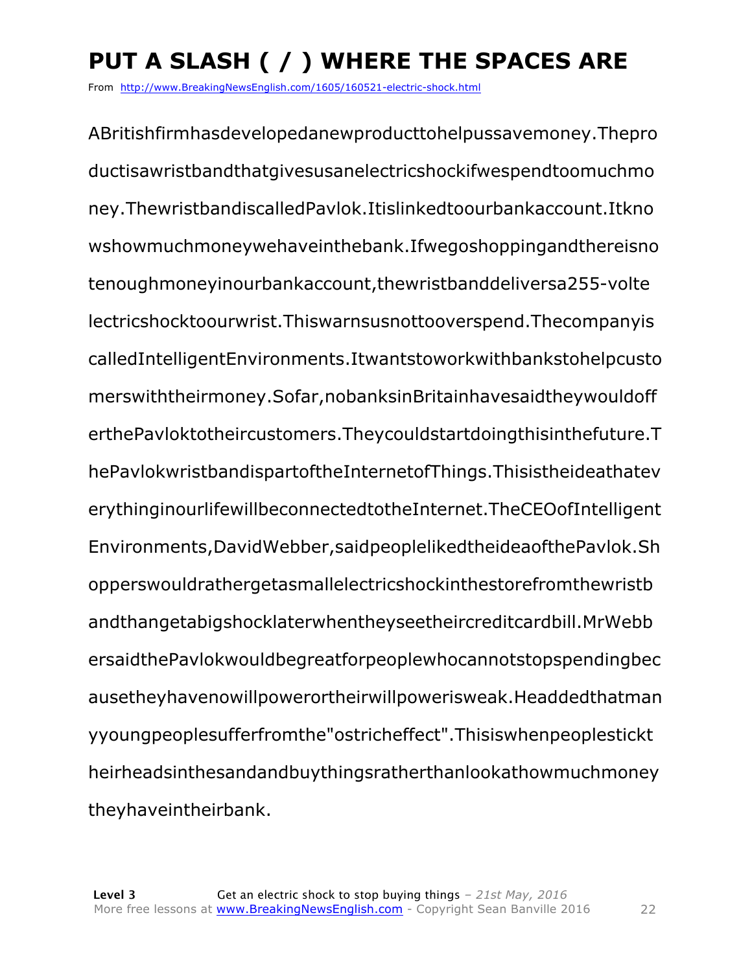# **PUT A SLASH ( / ) WHERE THE SPACES ARE**

From http://www.BreakingNewsEnglish.com/1605/160521-electric-shock.html

ABritishfirmhasdevelopedanewproducttohelpussavemoney.Thepro ductisawristbandthatgivesusanelectricshockifwespendtoomuchmo ney.ThewristbandiscalledPavlok.Itislinkedtoourbankaccount.Itkno wshowmuchmoneywehaveinthebank.Ifwegoshoppingandthereisno tenoughmoneyinourbankaccount,thewristbanddeliversa255-volte lectricshocktoourwrist.Thiswarnsusnottooverspend.Thecompanyis calledIntelligentEnvironments.Itwantstoworkwithbankstohelpcusto merswiththeirmoney.Sofar,nobanksinBritainhavesaidtheywouldoff erthePavloktotheircustomers.Theycouldstartdoingthisinthefuture.T hePavlokwristbandispartoftheInternetofThings.Thisistheideathatev erythinginourlifewillbeconnectedtotheInternet.TheCEOofIntelligent Environments,DavidWebber,saidpeoplelikedtheideaofthePavlok.Sh opperswouldrathergetasmallelectricshockinthestorefromthewristb andthangetabigshocklaterwhentheyseetheircreditcardbill.MrWebb ersaidthePavlokwouldbegreatforpeoplewhocannotstopspendingbec ausetheyhavenowillpowerortheirwillpowerisweak.Headdedthatman yyoungpeoplesufferfromthe"ostricheffect".Thisiswhenpeoplestickt heirheadsinthesandandbuythingsratherthanlookathowmuchmoney theyhaveintheirbank.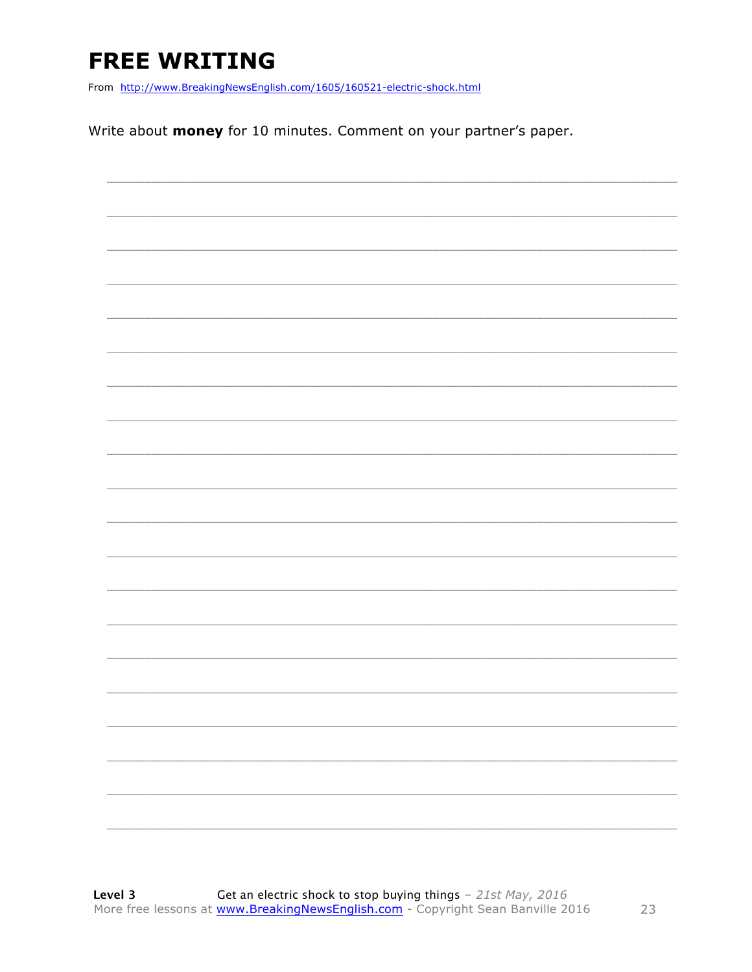# **FREE WRITING**

From http://www.BreakingNewsEnglish.com/1605/160521-electric-shock.html

Write about money for 10 minutes. Comment on your partner's paper.

|  | $\overline{\phantom{0}}$ |
|--|--------------------------|
|  |                          |
|  |                          |
|  |                          |
|  |                          |
|  |                          |
|  |                          |
|  |                          |
|  |                          |
|  |                          |
|  |                          |
|  |                          |
|  |                          |
|  |                          |
|  |                          |
|  |                          |
|  |                          |
|  |                          |
|  |                          |
|  |                          |
|  |                          |
|  |                          |
|  |                          |
|  |                          |
|  |                          |
|  |                          |
|  |                          |
|  |                          |
|  |                          |
|  |                          |
|  |                          |
|  |                          |
|  |                          |
|  |                          |
|  |                          |
|  |                          |
|  |                          |
|  |                          |
|  |                          |
|  |                          |
|  |                          |
|  |                          |
|  |                          |
|  |                          |
|  |                          |
|  |                          |
|  |                          |
|  |                          |
|  |                          |
|  |                          |
|  |                          |
|  |                          |
|  |                          |
|  |                          |
|  |                          |
|  |                          |
|  |                          |
|  |                          |
|  |                          |
|  |                          |
|  |                          |
|  |                          |
|  |                          |
|  |                          |
|  |                          |
|  |                          |
|  |                          |
|  |                          |
|  |                          |
|  |                          |
|  |                          |
|  |                          |
|  |                          |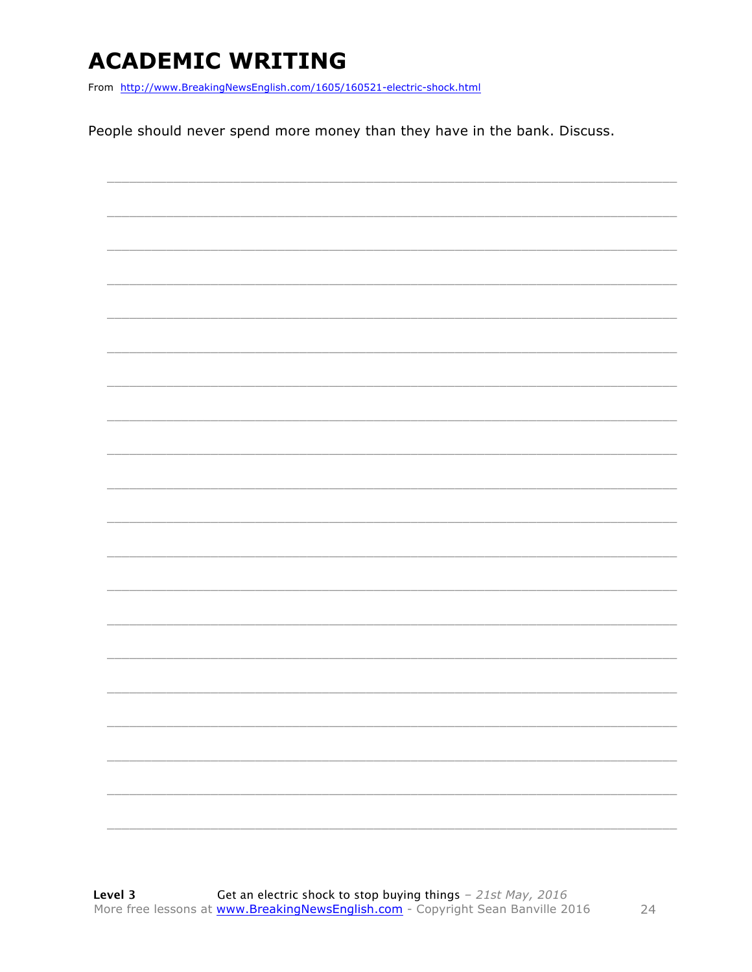### **ACADEMIC WRITING**

From http://www.BreakingNewsEnglish.com/1605/160521-electric-shock.html

People should never spend more money than they have in the bank. Discuss.

|  |  | ________                 |
|--|--|--------------------------|
|  |  |                          |
|  |  |                          |
|  |  | $\overline{\phantom{0}}$ |
|  |  |                          |
|  |  |                          |
|  |  |                          |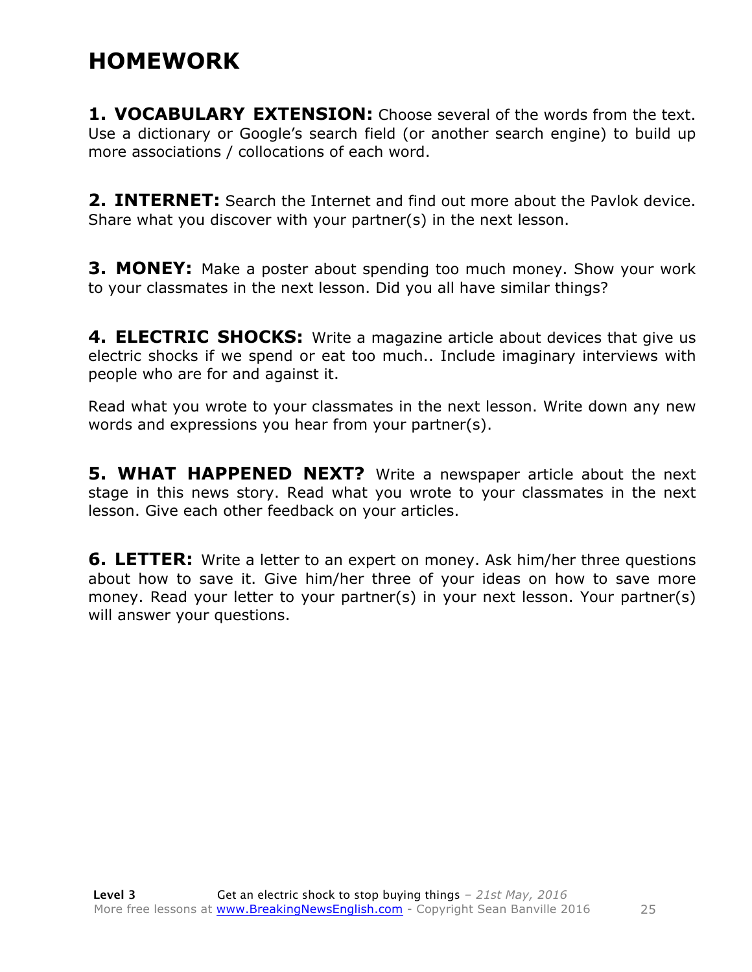#### **HOMEWORK**

**1. VOCABULARY EXTENSION:** Choose several of the words from the text. Use a dictionary or Google's search field (or another search engine) to build up more associations / collocations of each word.

**2. INTERNET:** Search the Internet and find out more about the Pavlok device. Share what you discover with your partner(s) in the next lesson.

**3. MONEY:** Make a poster about spending too much money. Show your work to your classmates in the next lesson. Did you all have similar things?

**4. ELECTRIC SHOCKS:** Write a magazine article about devices that give us electric shocks if we spend or eat too much.. Include imaginary interviews with people who are for and against it.

Read what you wrote to your classmates in the next lesson. Write down any new words and expressions you hear from your partner(s).

**5. WHAT HAPPENED NEXT?** Write a newspaper article about the next stage in this news story. Read what you wrote to your classmates in the next lesson. Give each other feedback on your articles.

**6. LETTER:** Write a letter to an expert on money. Ask him/her three questions about how to save it. Give him/her three of your ideas on how to save more money. Read your letter to your partner(s) in your next lesson. Your partner(s) will answer your questions.